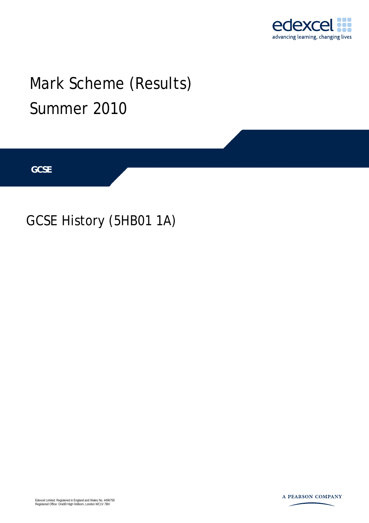

# Mark Scheme (Results) Summer 2010

**GCSE** 

## GCSE History (5HB01 1A)

Edexcel Limited. Registered in England and Wales No. 4496750 Registered Office: One90 High Holborn, London WC1V 7BH

A PEARSON COMPANY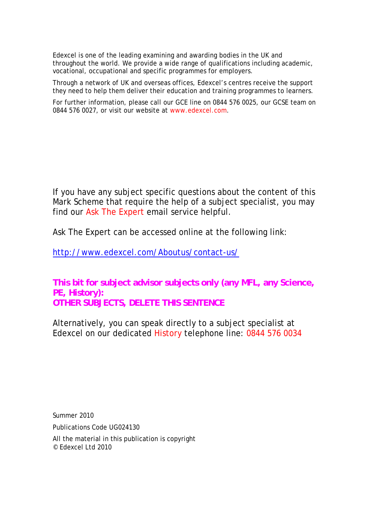Edexcel is one of the leading examining and awarding bodies in the UK and throughout the world. We provide a wide range of qualifications including academic, vocational, occupational and specific programmes for employers.

Through a network of UK and overseas offices, Edexcel's centres receive the support they need to help them deliver their education and training programmes to learners.

For further information, please call our GCE line on 0844 576 0025, our GCSE team on 0844 576 0027, or visit our website at www.edexcel.com.

If you have any subject specific questions about the content of this Mark Scheme that require the help of a subject specialist, you may find our Ask The Expert email service helpful.

Ask The Expert can be accessed online at the following link:

http://www.edexcel.com/Aboutus/contact-us/

**This bit for subject advisor subjects only (any MFL, any Science, PE, History): OTHER SUBJECTS, DELETE THIS SENTENCE** 

Alternatively, you can speak directly to a subject specialist at Edexcel on our dedicated History telephone line: 0844 576 0034

Summer 2010

Publications Code UG024130

All the material in this publication is copyright © Edexcel Ltd 2010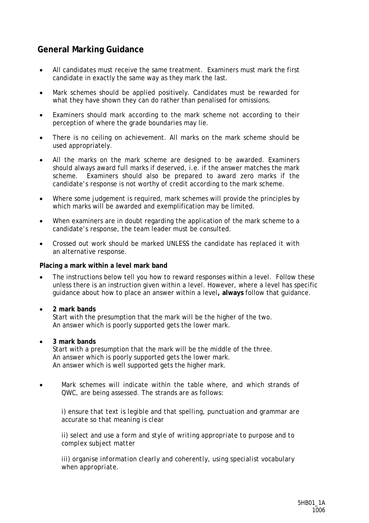### **General Marking Guidance**

- All candidates must receive the same treatment. Examiners must mark the first candidate in exactly the same way as they mark the last.
- Mark schemes should be applied positively. Candidates must be rewarded for what they have shown they can do rather than penalised for omissions.
- Examiners should mark according to the mark scheme not according to their perception of where the grade boundaries may lie.
- There is no ceiling on achievement. All marks on the mark scheme should be used appropriately.
- All the marks on the mark scheme are designed to be awarded. Examiners should always award full marks if deserved, i.e. if the answer matches the mark scheme. Examiners should also be prepared to award zero marks if the candidate's response is not worthy of credit according to the mark scheme.
- Where some judgement is required, mark schemes will provide the principles by which marks will be awarded and exemplification may be limited.
- When examiners are in doubt regarding the application of the mark scheme to a candidate's response, the team leader must be consulted.
- Crossed out work should be marked UNLESS the candidate has replaced it with an alternative response.

#### **Placing a mark within a level mark band**

- The instructions below tell you how to reward responses within a level. Follow these unless there is an instruction given within a level. However, where a level has specific guidance about how to place an answer within a level**, always** follow that guidance.
	- • **2 mark bands** Start with the presumption that the mark will be the higher of the two. An answer which is poorly supported gets the lower mark.
- • **3 mark bands**

Start with a presumption that the mark will be the middle of the three. An answer which is poorly supported gets the lower mark. An answer which is well supported gets the higher mark.

• Mark schemes will indicate within the table where, and which strands of QWC, are being assessed. The strands are as follows:

*i) ensure that text is legible and that spelling, punctuation and grammar are accurate so that meaning is clear* 

*ii) select and use a form and style of writing appropriate to purpose and to complex subject matter* 

*iii) organise information clearly and coherently, using specialist vocabulary when appropriate.*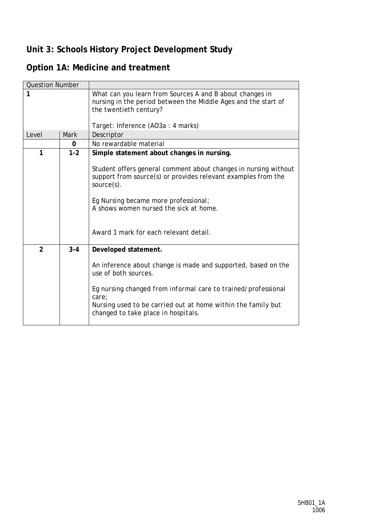## **Unit 3: Schools History Project Development Study**

## **Option 1A: Medicine and treatment**

| <b>Question Number</b> |          |                                                                                                                                                                                                                                                                                                                             |
|------------------------|----------|-----------------------------------------------------------------------------------------------------------------------------------------------------------------------------------------------------------------------------------------------------------------------------------------------------------------------------|
| 1                      |          | What can you learn from Sources A and B about changes in<br>nursing in the period between the Middle Ages and the start of<br>the twentieth century?                                                                                                                                                                        |
|                        |          | Target: Inference (AO3a : 4 marks)                                                                                                                                                                                                                                                                                          |
| Level                  | Mark     | Descriptor                                                                                                                                                                                                                                                                                                                  |
|                        | $\Omega$ | No rewardable material                                                                                                                                                                                                                                                                                                      |
| 1                      | $1 - 2$  | Simple statement about changes in nursing.<br>Student offers general comment about changes in nursing without<br>support from source(s) or provides relevant examples from the<br>$source(s)$ .<br>Eq Nursing became more professional;<br>A shows women nursed the sick at home.<br>Award 1 mark for each relevant detail. |
| $\overline{2}$         | $3 - 4$  | Developed statement.<br>An inference about change is made and supported, based on the<br>use of both sources.<br>Eq nursing changed from informal care to trained/professional<br>care;<br>Nursing used to be carried out at home within the family but<br>changed to take place in hospitals.                              |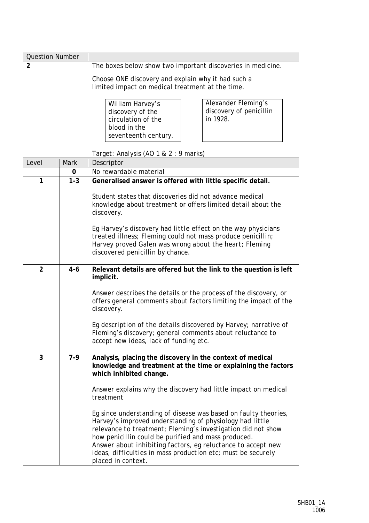| <b>Question Number</b> |         |                                                                                                                                                                                                                                                                                                                                                                                                          |
|------------------------|---------|----------------------------------------------------------------------------------------------------------------------------------------------------------------------------------------------------------------------------------------------------------------------------------------------------------------------------------------------------------------------------------------------------------|
| $\overline{2}$         |         | The boxes below show two important discoveries in medicine.                                                                                                                                                                                                                                                                                                                                              |
|                        |         | Choose ONE discovery and explain why it had such a<br>limited impact on medical treatment at the time.                                                                                                                                                                                                                                                                                                   |
|                        |         | Alexander Fleming's<br>William Harvey's<br>discovery of penicillin<br>discovery of the<br>in 1928.<br>circulation of the<br>blood in the<br>seventeenth century.<br>Target: Analysis (AO 1 & 2 : 9 marks)                                                                                                                                                                                                |
| Level                  | Mark    | Descriptor                                                                                                                                                                                                                                                                                                                                                                                               |
|                        | 0       | No rewardable material                                                                                                                                                                                                                                                                                                                                                                                   |
| $\mathbf{1}$           | $1 - 3$ | Generalised answer is offered with little specific detail.                                                                                                                                                                                                                                                                                                                                               |
|                        |         | Student states that discoveries did not advance medical<br>knowledge about treatment or offers limited detail about the<br>discovery.                                                                                                                                                                                                                                                                    |
|                        |         | Eg Harvey's discovery had little effect on the way physicians<br>treated illness; Fleming could not mass produce penicillin;<br>Harvey proved Galen was wrong about the heart; Fleming<br>discovered penicillin by chance.                                                                                                                                                                               |
| $\overline{2}$         | $4 - 6$ | Relevant details are offered but the link to the question is left<br>implicit.                                                                                                                                                                                                                                                                                                                           |
|                        |         | Answer describes the details or the process of the discovery, or<br>offers general comments about factors limiting the impact of the<br>discovery.                                                                                                                                                                                                                                                       |
|                        |         | Eg description of the details discovered by Harvey; narrative of<br>Fleming's discovery; general comments about reluctance to<br>accept new ideas, lack of funding etc.                                                                                                                                                                                                                                  |
| 3                      | $7-9$   | Analysis, placing the discovery in the context of medical<br>knowledge and treatment at the time or explaining the factors<br>which inhibited change.                                                                                                                                                                                                                                                    |
|                        |         | Answer explains why the discovery had little impact on medical<br>treatment                                                                                                                                                                                                                                                                                                                              |
|                        |         | Eg since understanding of disease was based on faulty theories,<br>Harvey's improved understanding of physiology had little<br>relevance to treatment; Fleming's investigation did not show<br>how penicillin could be purified and mass produced.<br>Answer about inhibiting factors, eg reluctance to accept new<br>ideas, difficulties in mass production etc; must be securely<br>placed in context. |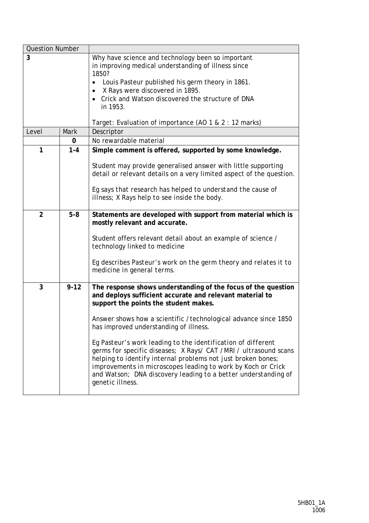| <b>Question Number</b> |          |                                                                                                                                                                                                                                                                                                                                                                                                                                                                                                                                                                                                                                             |
|------------------------|----------|---------------------------------------------------------------------------------------------------------------------------------------------------------------------------------------------------------------------------------------------------------------------------------------------------------------------------------------------------------------------------------------------------------------------------------------------------------------------------------------------------------------------------------------------------------------------------------------------------------------------------------------------|
| 3                      |          | Why have science and technology been so important<br>in improving medical understanding of illness since<br>1850?<br>Louis Pasteur published his germ theory in 1861.<br>٠<br>X Rays were discovered in 1895.<br>Crick and Watson discovered the structure of DNA<br>in 1953.<br>Target: Evaluation of importance (AO 1 & 2 : 12 marks)                                                                                                                                                                                                                                                                                                     |
| Level                  | Mark     | Descriptor                                                                                                                                                                                                                                                                                                                                                                                                                                                                                                                                                                                                                                  |
|                        | 0        | No rewardable material                                                                                                                                                                                                                                                                                                                                                                                                                                                                                                                                                                                                                      |
| 1                      | $1 - 4$  | Simple comment is offered, supported by some knowledge.<br>Student may provide generalised answer with little supporting<br>detail or relevant details on a very limited aspect of the question.                                                                                                                                                                                                                                                                                                                                                                                                                                            |
|                        |          | Eg says that research has helped to understand the cause of<br>illness; X Rays help to see inside the body.                                                                                                                                                                                                                                                                                                                                                                                                                                                                                                                                 |
| $\overline{2}$         | $5-8$    | Statements are developed with support from material which is<br>mostly relevant and accurate.<br>Student offers relevant detail about an example of science /<br>technology linked to medicine<br>Eg describes Pasteur's work on the germ theory and relates it to<br>medicine in general terms.                                                                                                                                                                                                                                                                                                                                            |
| 3                      | $9 - 12$ | The response shows understanding of the focus of the question<br>and deploys sufficient accurate and relevant material to<br>support the points the student makes.<br>Answer shows how a scientific / technological advance since 1850<br>has improved understanding of illness.<br>Eg Pasteur's work leading to the identification of different<br>germs for specific diseases; X Rays/ CAT / MRI / ultrasound scans<br>helping to identify internal problems not just broken bones;<br>improvements in microscopes leading to work by Koch or Crick<br>and Watson; DNA discovery leading to a better understanding of<br>genetic illness. |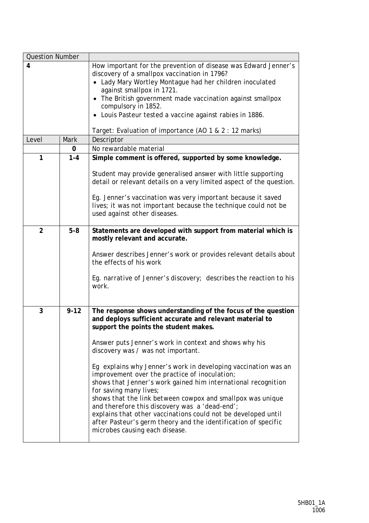| <b>Question Number</b> |          |                                                                                                                                                                                                                                                                                                                                                                                                                                                                                                                                                                                                                                                                                                                                                                       |
|------------------------|----------|-----------------------------------------------------------------------------------------------------------------------------------------------------------------------------------------------------------------------------------------------------------------------------------------------------------------------------------------------------------------------------------------------------------------------------------------------------------------------------------------------------------------------------------------------------------------------------------------------------------------------------------------------------------------------------------------------------------------------------------------------------------------------|
| 4                      |          | How important for the prevention of disease was Edward Jenner's<br>discovery of a smallpox vaccination in 1796?<br>• Lady Mary Wortley Montague had her children inoculated<br>against smallpox in 1721.<br>• The British government made vaccination against smallpox<br>compulsory in 1852.<br>• Louis Pasteur tested a vaccine against rabies in 1886.                                                                                                                                                                                                                                                                                                                                                                                                             |
| Level                  | Mark     | Target: Evaluation of importance (AO 1 & 2 : 12 marks)<br>Descriptor                                                                                                                                                                                                                                                                                                                                                                                                                                                                                                                                                                                                                                                                                                  |
|                        | 0        | No rewardable material                                                                                                                                                                                                                                                                                                                                                                                                                                                                                                                                                                                                                                                                                                                                                |
| 1                      | $1 - 4$  | Simple comment is offered, supported by some knowledge.                                                                                                                                                                                                                                                                                                                                                                                                                                                                                                                                                                                                                                                                                                               |
|                        |          | Student may provide generalised answer with little supporting<br>detail or relevant details on a very limited aspect of the question.<br>Eg. Jenner's vaccination was very important because it saved<br>lives; it was not important because the technique could not be<br>used against other diseases.                                                                                                                                                                                                                                                                                                                                                                                                                                                               |
| $\overline{2}$         | $5-8$    | Statements are developed with support from material which is<br>mostly relevant and accurate.<br>Answer describes Jenner's work or provides relevant details about<br>the effects of his work<br>Eg. narrative of Jenner's discovery; describes the reaction to his<br>work.                                                                                                                                                                                                                                                                                                                                                                                                                                                                                          |
| 3                      | $9 - 12$ | The response shows understanding of the focus of the question<br>and deploys sufficient accurate and relevant material to<br>support the points the student makes.<br>Answer puts Jenner's work in context and shows why his<br>discovery was / was not important.<br>Eg explains why Jenner's work in developing vaccination was an<br>improvement over the practice of inoculation;<br>shows that Jenner's work gained him international recognition<br>for saving many lives;<br>shows that the link between cowpox and smallpox was unique<br>and therefore this discovery was a 'dead-end';<br>explains that other vaccinations could not be developed until<br>after Pasteur's germ theory and the identification of specific<br>microbes causing each disease. |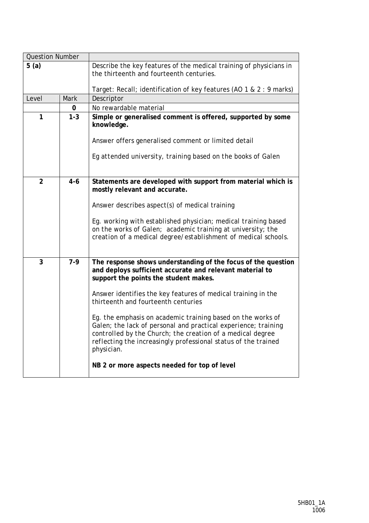| <b>Question Number</b> |             |                                                                                                                                                                                                                                                                             |
|------------------------|-------------|-----------------------------------------------------------------------------------------------------------------------------------------------------------------------------------------------------------------------------------------------------------------------------|
| 5(a)                   |             | Describe the key features of the medical training of physicians in<br>the thirteenth and fourteenth centuries.                                                                                                                                                              |
|                        |             | Target: Recall; identification of key features (AO 1 & 2 : 9 marks)                                                                                                                                                                                                         |
| Level                  | <b>Mark</b> | Descriptor                                                                                                                                                                                                                                                                  |
|                        | 0           | No rewardable material                                                                                                                                                                                                                                                      |
| 1                      | $1 - 3$     | Simple or generalised comment is offered, supported by some<br>knowledge.                                                                                                                                                                                                   |
|                        |             | Answer offers generalised comment or limited detail                                                                                                                                                                                                                         |
|                        |             | Eg attended university, training based on the books of Galen                                                                                                                                                                                                                |
| $\overline{2}$         | $4 - 6$     | Statements are developed with support from material which is<br>mostly relevant and accurate.                                                                                                                                                                               |
|                        |             | Answer describes aspect(s) of medical training                                                                                                                                                                                                                              |
|                        |             | Eq. working with established physician; medical training based<br>on the works of Galen; academic training at university; the<br>creation of a medical degree/establishment of medical schools.                                                                             |
| 3                      | $7-9$       | The response shows understanding of the focus of the question<br>and deploys sufficient accurate and relevant material to<br>support the points the student makes.                                                                                                          |
|                        |             | Answer identifies the key features of medical training in the<br>thirteenth and fourteenth centuries                                                                                                                                                                        |
|                        |             | Eg. the emphasis on academic training based on the works of<br>Galen; the lack of personal and practical experience; training<br>controlled by the Church; the creation of a medical degree<br>reflecting the increasingly professional status of the trained<br>physician. |
|                        |             | NB 2 or more aspects needed for top of level                                                                                                                                                                                                                                |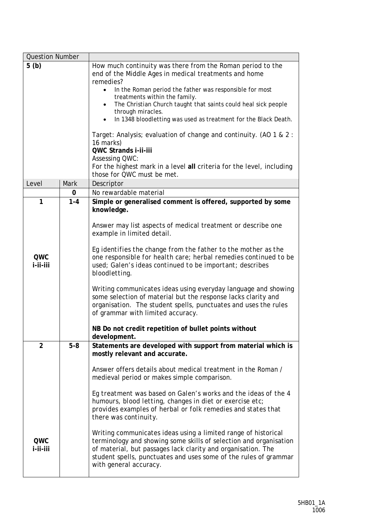| <b>Question Number</b>    |                  |                                                                                                                                                                                                                                                                                                                                                                                                                                                                                                                                                                                                                                                                                                                                                                              |
|---------------------------|------------------|------------------------------------------------------------------------------------------------------------------------------------------------------------------------------------------------------------------------------------------------------------------------------------------------------------------------------------------------------------------------------------------------------------------------------------------------------------------------------------------------------------------------------------------------------------------------------------------------------------------------------------------------------------------------------------------------------------------------------------------------------------------------------|
| 5(b)                      |                  | How much continuity was there from the Roman period to the<br>end of the Middle Ages in medical treatments and home<br>remedies?<br>In the Roman period the father was responsible for most<br>$\bullet$<br>treatments within the family.<br>The Christian Church taught that saints could heal sick people<br>through miracles.<br>In 1348 bloodletting was used as treatment for the Black Death.<br>$\bullet$<br>Target: Analysis; evaluation of change and continuity. (AO 1 & 2 :<br>16 marks)<br>QWC Strands i-ii-iii<br><b>Assessing QWC:</b><br>For the highest mark in a level all criteria for the level, including<br>those for QWC must be met.                                                                                                                  |
| Level                     | <b>Mark</b>      | Descriptor                                                                                                                                                                                                                                                                                                                                                                                                                                                                                                                                                                                                                                                                                                                                                                   |
|                           | 0                | No rewardable material                                                                                                                                                                                                                                                                                                                                                                                                                                                                                                                                                                                                                                                                                                                                                       |
| 1<br>QWC<br>i-ii-iii<br>2 | $1 - 4$<br>$5-8$ | Simple or generalised comment is offered, supported by some<br>knowledge.<br>Answer may list aspects of medical treatment or describe one<br>example in limited detail.<br>Eg identifies the change from the father to the mother as the<br>one responsible for health care; herbal remedies continued to be<br>used; Galen's ideas continued to be important; describes<br>bloodletting.<br>Writing communicates ideas using everyday language and showing<br>some selection of material but the response lacks clarity and<br>organisation. The student spells, punctuates and uses the rules<br>of grammar with limited accuracy.<br>NB Do not credit repetition of bullet points without<br>development.<br>Statements are developed with support from material which is |
| QWC<br>i-ii-iii           |                  | mostly relevant and accurate.<br>Answer offers details about medical treatment in the Roman /<br>medieval period or makes simple comparison.<br>Eg treatment was based on Galen's works and the ideas of the 4<br>humours, blood letting, changes in diet or exercise etc;<br>provides examples of herbal or folk remedies and states that<br>there was continuity.<br>Writing communicates ideas using a limited range of historical<br>terminology and showing some skills of selection and organisation<br>of material, but passages lack clarity and organisation. The<br>student spells, punctuates and uses some of the rules of grammar<br>with general accuracy.                                                                                                     |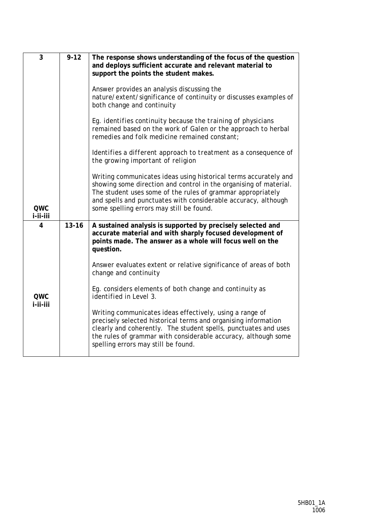| 3                      | $9 - 12$  | The response shows understanding of the focus of the question<br>and deploys sufficient accurate and relevant material to<br>support the points the student makes.                                                                                                                                                 |
|------------------------|-----------|--------------------------------------------------------------------------------------------------------------------------------------------------------------------------------------------------------------------------------------------------------------------------------------------------------------------|
|                        |           | Answer provides an analysis discussing the<br>nature/extent/significance of continuity or discusses examples of<br>both change and continuity                                                                                                                                                                      |
|                        |           | Eg. identifies continuity because the training of physicians<br>remained based on the work of Galen or the approach to herbal<br>remedies and folk medicine remained constant;                                                                                                                                     |
|                        |           | Identifies a different approach to treatment as a consequence of<br>the growing important of religion                                                                                                                                                                                                              |
| <b>QWC</b><br>i-ii-iii |           | Writing communicates ideas using historical terms accurately and<br>showing some direction and control in the organising of material.<br>The student uses some of the rules of grammar appropriately<br>and spells and punctuates with considerable accuracy, although<br>some spelling errors may still be found. |
| $\overline{4}$         | $13 - 16$ | A sustained analysis is supported by precisely selected and<br>accurate material and with sharply focused development of<br>points made. The answer as a whole will focus well on the<br>question.                                                                                                                 |
|                        |           | Answer evaluates extent or relative significance of areas of both<br>change and continuity                                                                                                                                                                                                                         |
| <b>OWC</b><br>i-ii-iii |           | Eg. considers elements of both change and continuity as<br><i>identified in Level 3.</i>                                                                                                                                                                                                                           |
|                        |           | Writing communicates ideas effectively, using a range of<br>precisely selected historical terms and organising information<br>clearly and coherently. The student spells, punctuates and uses<br>the rules of grammar with considerable accuracy, although some<br>spelling errors may still be found.             |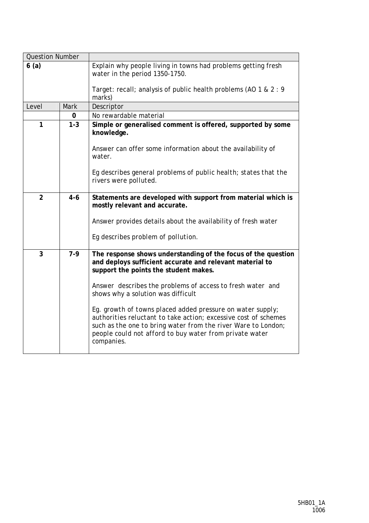| <b>Question Number</b> |             |                                                                                                                                                                                                                                                                         |
|------------------------|-------------|-------------------------------------------------------------------------------------------------------------------------------------------------------------------------------------------------------------------------------------------------------------------------|
| 6(a)                   |             | Explain why people living in towns had problems getting fresh<br>water in the period 1350-1750.                                                                                                                                                                         |
|                        |             | Target: recall; analysis of public health problems (AO 1 & 2 : 9<br>marks)                                                                                                                                                                                              |
| Level                  | <b>Mark</b> | Descriptor                                                                                                                                                                                                                                                              |
|                        | 0           | No rewardable material                                                                                                                                                                                                                                                  |
| 1                      | $1 - 3$     | Simple or generalised comment is offered, supported by some<br>knowledge.                                                                                                                                                                                               |
|                        |             | Answer can offer some information about the availability of<br>water.                                                                                                                                                                                                   |
|                        |             | Eg describes general problems of public health; states that the<br>rivers were polluted.                                                                                                                                                                                |
| $\overline{2}$         | $4 - 6$     | Statements are developed with support from material which is<br>mostly relevant and accurate.<br>Answer provides details about the availability of fresh water                                                                                                          |
|                        |             | Eg describes problem of pollution.                                                                                                                                                                                                                                      |
| 3                      | $7-9$       | The response shows understanding of the focus of the question<br>and deploys sufficient accurate and relevant material to<br>support the points the student makes.<br>Answer describes the problems of access to fresh water and<br>shows why a solution was difficult  |
|                        |             | Eg. growth of towns placed added pressure on water supply;<br>authorities reluctant to take action; excessive cost of schemes<br>such as the one to bring water from the river Ware to London;<br>people could not afford to buy water from private water<br>companies. |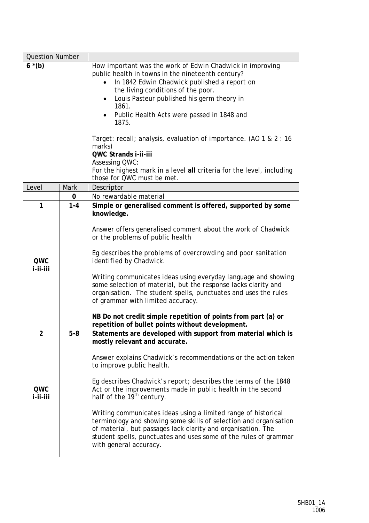| <b>Question Number</b>            |             |                                                                                                                                                                                                                                                                                                                                                                                                                                                                                                                                                                                                                                                                              |
|-----------------------------------|-------------|------------------------------------------------------------------------------------------------------------------------------------------------------------------------------------------------------------------------------------------------------------------------------------------------------------------------------------------------------------------------------------------------------------------------------------------------------------------------------------------------------------------------------------------------------------------------------------------------------------------------------------------------------------------------------|
| $6*(b)$                           |             | How important was the work of Edwin Chadwick in improving<br>public health in towns in the nineteenth century?<br>In 1842 Edwin Chadwick published a report on<br>the living conditions of the poor.<br>Louis Pasteur published his germ theory in<br>$\bullet$<br>1861.<br>Public Health Acts were passed in 1848 and<br>1875.<br>Target: recall; analysis, evaluation of importance. (AO 1 & 2 : 16<br>marks)<br>QWC Strands i-ii-iii<br>Assessing QWC:<br>For the highest mark in a level all criteria for the level, including<br>those for QWC must be met.                                                                                                             |
| Level                             | <b>Mark</b> | Descriptor                                                                                                                                                                                                                                                                                                                                                                                                                                                                                                                                                                                                                                                                   |
|                                   | 0           | No rewardable material                                                                                                                                                                                                                                                                                                                                                                                                                                                                                                                                                                                                                                                       |
| $\mathbf{1}$<br>QWC<br>i-ii-iii   | $1 - 4$     | Simple or generalised comment is offered, supported by some<br>knowledge.<br>Answer offers generalised comment about the work of Chadwick<br>or the problems of public health<br>Eg describes the problems of overcrowding and poor sanitation<br>identified by Chadwick.<br>Writing communicates ideas using everyday language and showing<br>some selection of material, but the response lacks clarity and<br>organisation. The student spells, punctuates and uses the rules<br>of grammar with limited accuracy.<br>NB Do not credit simple repetition of points from part (a) or<br>repetition of bullet points without development.                                   |
| $\overline{2}$<br>QWC<br>i-ii-iii | $5 - 8$     | Statements are developed with support from material which is<br>mostly relevant and accurate.<br>Answer explains Chadwick's recommendations or the action taken<br>to improve public health.<br>Eq describes Chadwick's report; describes the terms of the 1848<br>Act or the improvements made in public health in the second<br>half of the 19 <sup>th</sup> century.<br>Writing communicates ideas using a limited range of historical<br>terminology and showing some skills of selection and organisation<br>of material, but passages lack clarity and organisation. The<br>student spells, punctuates and uses some of the rules of grammar<br>with general accuracy. |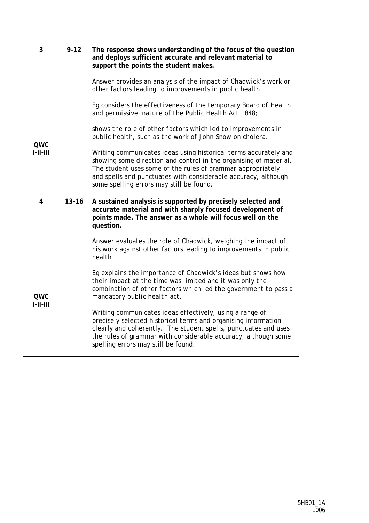| 3               | $9 - 12$  | The response shows understanding of the focus of the question<br>and deploys sufficient accurate and relevant material to<br>support the points the student makes.                                                                                                                                                 |
|-----------------|-----------|--------------------------------------------------------------------------------------------------------------------------------------------------------------------------------------------------------------------------------------------------------------------------------------------------------------------|
|                 |           | Answer provides an analysis of the impact of Chadwick's work or<br>other factors leading to improvements in public health                                                                                                                                                                                          |
|                 |           | Eg considers the effectiveness of the temporary Board of Health<br>and permissive nature of the Public Health Act 1848;                                                                                                                                                                                            |
| QWC             |           | shows the role of other factors which led to improvements in<br>public health, such as the work of John Snow on cholera.                                                                                                                                                                                           |
| i-ii-iii        |           | Writing communicates ideas using historical terms accurately and<br>showing some direction and control in the organising of material.<br>The student uses some of the rules of grammar appropriately<br>and spells and punctuates with considerable accuracy, although<br>some spelling errors may still be found. |
| 4               | $13 - 16$ | A sustained analysis is supported by precisely selected and<br>accurate material and with sharply focused development of<br>points made. The answer as a whole will focus well on the<br>question.                                                                                                                 |
|                 |           | Answer evaluates the role of Chadwick, weighing the impact of<br>his work against other factors leading to improvements in public<br>health                                                                                                                                                                        |
| QWC<br>i-ii-iii |           | Eg explains the importance of Chadwick's ideas but shows how<br>their impact at the time was limited and it was only the<br>combination of other factors which led the government to pass a<br>mandatory public health act.                                                                                        |
|                 |           | Writing communicates ideas effectively, using a range of<br>precisely selected historical terms and organising information<br>clearly and coherently. The student spells, punctuates and uses<br>the rules of grammar with considerable accuracy, although some<br>spelling errors may still be found.             |